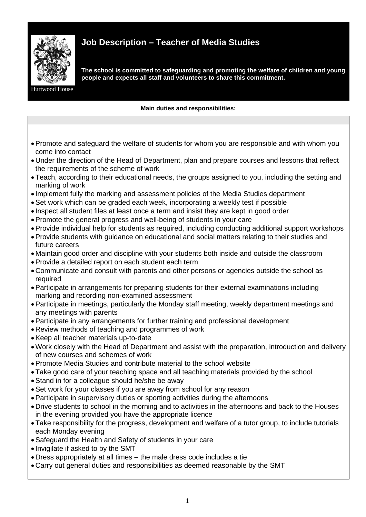

## **Job Description – Teacher of Media Studies**

**The school is committed to safeguarding and promoting the welfare of children and young people and expects all staff and volunteers to share this commitment.**

House

## **Main duties and responsibilities:**

- •Promote and safeguard the welfare of students for whom you are responsible and with whom you come into contact
- Under the direction of the Head of Department, plan and prepare courses and lessons that reflect the requirements of the scheme of work
- Teach, according to their educational needs, the groups assigned to you, including the setting and marking of work
- Implement fully the marking and assessment policies of the Media Studies department
- •Set work which can be graded each week, incorporating a weekly test if possible
- Inspect all student files at least once a term and insist they are kept in good order
- •Promote the general progress and well-being of students in your care
- •Provide individual help for students as required, including conducting additional support workshops
- •Provide students with guidance on educational and social matters relating to their studies and future careers
- Maintain good order and discipline with your students both inside and outside the classroom
- •Provide a detailed report on each student each term
- Communicate and consult with parents and other persons or agencies outside the school as required
- •Participate in arrangements for preparing students for their external examinations including marking and recording non-examined assessment
- •Participate in meetings, particularly the Monday staff meeting, weekly department meetings and any meetings with parents
- •Participate in any arrangements for further training and professional development
- Review methods of teaching and programmes of work
- •Keep all teacher materials up-to-date
- Work closely with the Head of Department and assist with the preparation, introduction and delivery of new courses and schemes of work
- •Promote Media Studies and contribute material to the school website
- Take good care of your teaching space and all teaching materials provided by the school
- •Stand in for a colleague should he/she be away
- •Set work for your classes if you are away from school for any reason
- •Participate in supervisory duties or sporting activities during the afternoons
- Drive students to school in the morning and to activities in the afternoons and back to the Houses in the evening provided you have the appropriate licence
- Take responsibility for the progress, development and welfare of a tutor group, to include tutorials each Monday evening
- •Safeguard the Health and Safety of students in your care
- Invigilate if asked to by the SMT
- Dress appropriately at all times the male dress code includes a tie
- Carry out general duties and responsibilities as deemed reasonable by the SMT